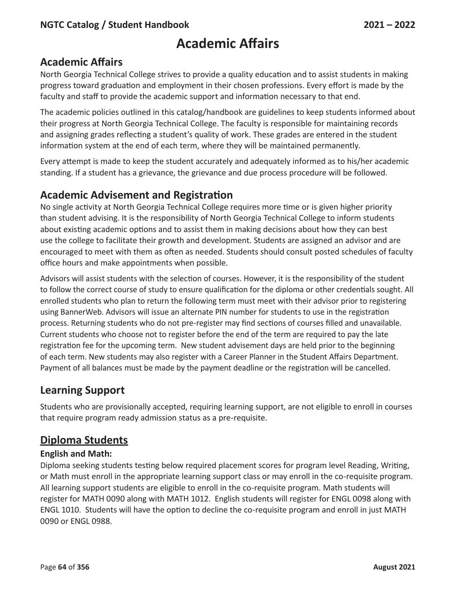# **Academic Affairs**

North Georgia Technical College strives to provide a quality education and to assist students in making progress toward graduation and employment in their chosen professions. Every effort is made by the faculty and staff to provide the academic support and information necessary to that end.

The academic policies outlined in this catalog/handbook are guidelines to keep students informed about their progress at North Georgia Technical College. The faculty is responsible for maintaining records and assigning grades reflecting a student's quality of work. These grades are entered in the student information system at the end of each term, where they will be maintained permanently.

Every attempt is made to keep the student accurately and adequately informed as to his/her academic standing. If a student has a grievance, the grievance and due process procedure will be followed.

# **Academic Advisement and Registration**

No single activity at North Georgia Technical College requires more time or is given higher priority than student advising. It is the responsibility of North Georgia Technical College to inform students about existing academic options and to assist them in making decisions about how they can best use the college to facilitate their growth and development. Students are assigned an advisor and are encouraged to meet with them as often as needed. Students should consult posted schedules of faculty office hours and make appointments when possible.

Advisors will assist students with the selection of courses. However, it is the responsibility of the student to follow the correct course of study to ensure qualification for the diploma or other credentials sought. All enrolled students who plan to return the following term must meet with their advisor prior to registering using BannerWeb. Advisors will issue an alternate PIN number for students to use in the registration process. Returning students who do not pre-register may find sections of courses filled and unavailable. Current students who choose not to register before the end of the term are required to pay the late registration fee for the upcoming term. New student advisement days are held prior to the beginning of each term. New students may also register with a Career Planner in the Student Affairs Department. Payment of all balances must be made by the payment deadline or the registration will be cancelled.

# **Learning Support**

Students who are provisionally accepted, requiring learning support, are not eligible to enroll in courses that require program ready admission status as a pre-requisite.

# **Diploma Students**

#### **English and Math:**

Diploma seeking students testing below required placement scores for program level Reading, Writing, or Math must enroll in the appropriate learning support class or may enroll in the co-requisite program. All learning support students are eligible to enroll in the co-requisite program. Math students will register for MATH 0090 along with MATH 1012. English students will register for ENGL 0098 along with ENGL 1010. Students will have the option to decline the co-requisite program and enroll in just MATH 0090 or ENGL 0988.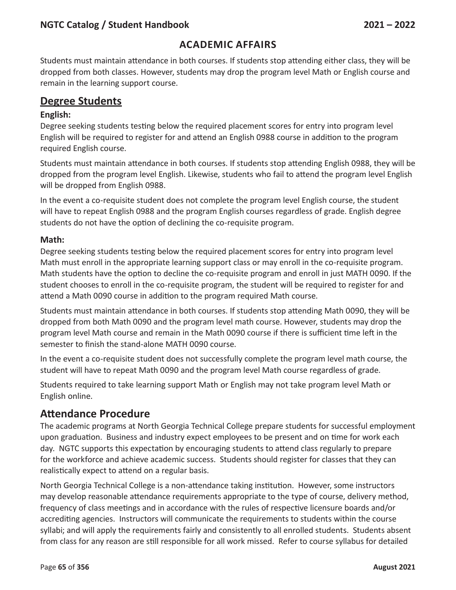#### **Academic Affairs**

Students must maintain attendance in both courses. If students stop attending either class, they will be dropped from both classes. However, students may drop the program level Math or English course and remain in the learning support course.

#### **Degree Students**

#### **English:**

Degree seeking students testing below the required placement scores for entry into program level English will be required to register for and attend an English 0988 course in addition to the program required English course.

Students must maintain attendance in both courses. If students stop attending English 0988, they will be dropped from the program level English. Likewise, students who fail to attend the program level English will be dropped from English 0988.

In the event a co-requisite student does not complete the program level English course, the student will have to repeat English 0988 and the program English courses regardless of grade. English degree students do not have the option of declining the co-requisite program.

#### **Math:**

Degree seeking students testing below the required placement scores for entry into program level Math must enroll in the appropriate learning support class or may enroll in the co-requisite program. Math students have the option to decline the co-requisite program and enroll in just MATH 0090. If the student chooses to enroll in the co-requisite program, the student will be required to register for and attend a Math 0090 course in addition to the program required Math course.

Students must maintain attendance in both courses. If students stop attending Math 0090, they will be dropped from both Math 0090 and the program level math course. However, students may drop the program level Math course and remain in the Math 0090 course if there is sufficient time left in the semester to finish the stand-alone MATH 0090 course.

In the event a co-requisite student does not successfully complete the program level math course, the student will have to repeat Math 0090 and the program level Math course regardless of grade.

Students required to take learning support Math or English may not take program level Math or English online.

#### **Attendance Procedure**

The academic programs at North Georgia Technical College prepare students for successful employment upon graduation. Business and industry expect employees to be present and on time for work each day. NGTC supports this expectation by encouraging students to attend class regularly to prepare for the workforce and achieve academic success. Students should register for classes that they can realistically expect to attend on a regular basis.

North Georgia Technical College is a non-attendance taking institution. However, some instructors may develop reasonable attendance requirements appropriate to the type of course, delivery method, frequency of class meetings and in accordance with the rules of respective licensure boards and/or accrediting agencies. Instructors will communicate the requirements to students within the course syllabi; and will apply the requirements fairly and consistently to all enrolled students. Students absent from class for any reason are still responsible for all work missed. Refer to course syllabus for detailed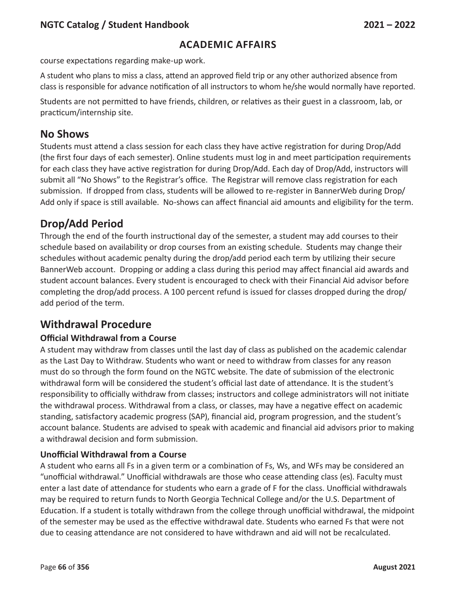#### **Academic Affairs**

course expectations regarding make-up work.

A student who plans to miss a class, attend an approved field trip or any other authorized absence from class is responsible for advance notification of all instructors to whom he/she would normally have reported.

Students are not permitted to have friends, children, or relatives as their guest in a classroom, lab, or practicum/internship site.

#### **No Shows**

Students must attend a class session for each class they have active registration for during Drop/Add (the first four days of each semester). Online students must log in and meet participation requirements for each class they have active registration for during Drop/Add. Each day of Drop/Add, instructors will submit all "No Shows" to the Registrar's office. The Registrar will remove class registration for each submission. If dropped from class, students will be allowed to re-register in BannerWeb during Drop/ Add only if space is still available. No-shows can affect financial aid amounts and eligibility for the term.

### **Drop/Add Period**

Through the end of the fourth instructional day of the semester, a student may add courses to their schedule based on availability or drop courses from an existing schedule. Students may change their schedules without academic penalty during the drop/add period each term by utilizing their secure BannerWeb account. Dropping or adding a class during this period may affect financial aid awards and student account balances. Every student is encouraged to check with their Financial Aid advisor before completing the drop/add process. A 100 percent refund is issued for classes dropped during the drop/ add period of the term.

### **Withdrawal Procedure**

#### **Official Withdrawal from a Course**

A student may withdraw from classes until the last day of class as published on the academic calendar as the Last Day to Withdraw. Students who want or need to withdraw from classes for any reason must do so through the form found on the NGTC website. The date of submission of the electronic withdrawal form will be considered the student's official last date of attendance. It is the student's responsibility to officially withdraw from classes; instructors and college administrators will not initiate the withdrawal process. Withdrawal from a class, or classes, may have a negative effect on academic standing, satisfactory academic progress (SAP), financial aid, program progression, and the student's account balance. Students are advised to speak with academic and financial aid advisors prior to making a withdrawal decision and form submission.

#### **Unofficial Withdrawal from a Course**

A student who earns all Fs in a given term or a combination of Fs, Ws, and WFs may be considered an "unofficial withdrawal." Unofficial withdrawals are those who cease attending class (es). Faculty must enter a last date of attendance for students who earn a grade of F for the class. Unofficial withdrawals may be required to return funds to North Georgia Technical College and/or the U.S. Department of Education. If a student is totally withdrawn from the college through unofficial withdrawal, the midpoint of the semester may be used as the effective withdrawal date. Students who earned Fs that were not due to ceasing attendance are not considered to have withdrawn and aid will not be recalculated.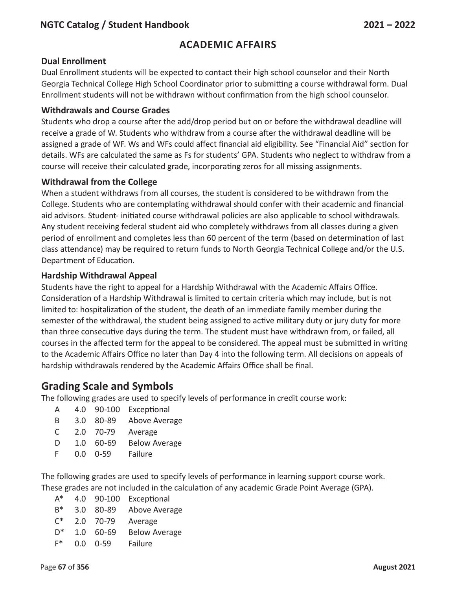#### **Dual Enrollment**

Dual Enrollment students will be expected to contact their high school counselor and their North Georgia Technical College High School Coordinator prior to submitting a course withdrawal form. Dual Enrollment students will not be withdrawn without confirmation from the high school counselor.

#### **Withdrawals and Course Grades**

Students who drop a course after the add/drop period but on or before the withdrawal deadline will receive a grade of W. Students who withdraw from a course after the withdrawal deadline will be assigned a grade of WF. Ws and WFs could affect financial aid eligibility. See "Financial Aid" section for details. WFs are calculated the same as Fs for students' GPA. Students who neglect to withdraw from a course will receive their calculated grade, incorporating zeros for all missing assignments.

#### **Withdrawal from the College**

When a student withdraws from all courses, the student is considered to be withdrawn from the College. Students who are contemplating withdrawal should confer with their academic and financial aid advisors. Student- initiated course withdrawal policies are also applicable to school withdrawals. Any student receiving federal student aid who completely withdraws from all classes during a given period of enrollment and completes less than 60 percent of the term (based on determination of last class attendance) may be required to return funds to North Georgia Technical College and/or the U.S. Department of Education.

#### **Hardship Withdrawal Appeal**

Students have the right to appeal for a Hardship Withdrawal with the Academic Affairs Office. Consideration of a Hardship Withdrawal is limited to certain criteria which may include, but is not limited to: hospitalization of the student, the death of an immediate family member during the semester of the withdrawal, the student being assigned to active military duty or jury duty for more than three consecutive days during the term. The student must have withdrawn from, or failed, all courses in the affected term for the appeal to be considered. The appeal must be submitted in writing to the Academic Affairs Office no later than Day 4 into the following term. All decisions on appeals of hardship withdrawals rendered by the Academic Affairs Office shall be final.

### **Grading Scale and Symbols**

The following grades are used to specify levels of performance in credit course work:

- A 4.0 90-100 Exceptional
- B 3.0 80-89 Above Average
- C 2.0 70-79 Average
- D 1.0 60-69 Below Average
- F 0.0 0-59 Failure

The following grades are used to specify levels of performance in learning support course work. These grades are not included in the calculation of any academic Grade Point Average (GPA).

- A\* 4.0 90-100 Exceptional B\* 3.0 80-89 Above Average
- C\* 2.0 70-79 Average
- D\* 1.0 60-69 Below Average
- F\* 0.0 0-59 Failure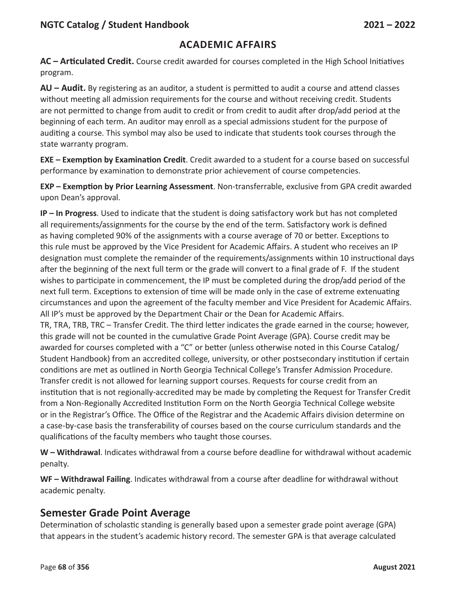**AC – Articulated Credit.** Course credit awarded for courses completed in the High School Initiatives program.

**AU – Audit.** By registering as an auditor, a student is permitted to audit a course and attend classes without meeting all admission requirements for the course and without receiving credit. Students are not permitted to change from audit to credit or from credit to audit after drop/add period at the beginning of each term. An auditor may enroll as a special admissions student for the purpose of auditing a course. This symbol may also be used to indicate that students took courses through the state warranty program.

**EXE – Exemption by Examination Credit**. Credit awarded to a student for a course based on successful performance by examination to demonstrate prior achievement of course competencies.

**EXP – Exemption by Prior Learning Assessment**. Non-transferrable, exclusive from GPA credit awarded upon Dean's approval.

**IP – In Progress**. Used to indicate that the student is doing satisfactory work but has not completed all requirements/assignments for the course by the end of the term. Satisfactory work is defined as having completed 90% of the assignments with a course average of 70 or better. Exceptions to this rule must be approved by the Vice President for Academic Affairs. A student who receives an IP designation must complete the remainder of the requirements/assignments within 10 instructional days after the beginning of the next full term or the grade will convert to a final grade of F. If the student wishes to participate in commencement, the IP must be completed during the drop/add period of the next full term. Exceptions to extension of time will be made only in the case of extreme extenuating circumstances and upon the agreement of the faculty member and Vice President for Academic Affairs. All IP's must be approved by the Department Chair or the Dean for Academic Affairs.

TR, TRA, TRB, TRC – Transfer Credit. The third letter indicates the grade earned in the course; however, this grade will not be counted in the cumulative Grade Point Average (GPA). Course credit may be awarded for courses completed with a "C" or better (unless otherwise noted in this Course Catalog/ Student Handbook) from an accredited college, university, or other postsecondary institution if certain conditions are met as outlined in North Georgia Technical College's Transfer Admission Procedure. Transfer credit is not allowed for learning support courses. Requests for course credit from an institution that is not regionally-accredited may be made by completing the Request for Transfer Credit from a Non-Regionally Accredited Institution Form on the North Georgia Technical College website or in the Registrar's Office. The Office of the Registrar and the Academic Affairs division determine on a case-by-case basis the transferability of courses based on the course curriculum standards and the qualifications of the faculty members who taught those courses.

**W – Withdrawal**. Indicates withdrawal from a course before deadline for withdrawal without academic penalty.

**WF – Withdrawal Failing**. Indicates withdrawal from a course after deadline for withdrawal without academic penalty.

### **Semester Grade Point Average**

Determination of scholastic standing is generally based upon a semester grade point average (GPA) that appears in the student's academic history record. The semester GPA is that average calculated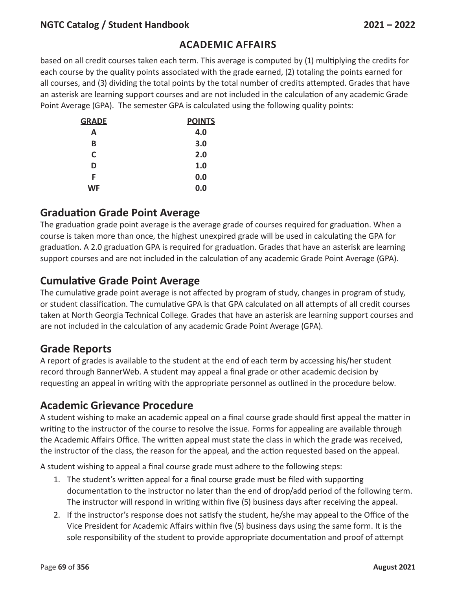#### **Academic Affairs**

based on all credit courses taken each term. This average is computed by (1) multiplying the credits for each course by the quality points associated with the grade earned, (2) totaling the points earned for all courses, and (3) dividing the total points by the total number of credits attempted. Grades that have an asterisk are learning support courses and are not included in the calculation of any academic Grade Point Average (GPA). The semester GPA is calculated using the following quality points:

| <b>GRADE</b> | <b>POINTS</b> |
|--------------|---------------|
| A            | 4.0           |
| В            | 3.0           |
| C            | 2.0           |
| D            | 1.0           |
| F            | 0.0           |
| WF           | 0.0           |

#### **Graduation Grade Point Average**

The graduation grade point average is the average grade of courses required for graduation. When a course is taken more than once, the highest unexpired grade will be used in calculating the GPA for graduation. A 2.0 graduation GPA is required for graduation. Grades that have an asterisk are learning support courses and are not included in the calculation of any academic Grade Point Average (GPA).

#### **Cumulative Grade Point Average**

The cumulative grade point average is not affected by program of study, changes in program of study, or student classification. The cumulative GPA is that GPA calculated on all attempts of all credit courses taken at North Georgia Technical College. Grades that have an asterisk are learning support courses and are not included in the calculation of any academic Grade Point Average (GPA).

### **Grade Reports**

A report of grades is available to the student at the end of each term by accessing his/her student record through BannerWeb. A student may appeal a final grade or other academic decision by requesting an appeal in writing with the appropriate personnel as outlined in the procedure below.

#### **Academic Grievance Procedure**

A student wishing to make an academic appeal on a final course grade should first appeal the matter in writing to the instructor of the course to resolve the issue. Forms for appealing are available through the Academic Affairs Office. The written appeal must state the class in which the grade was received, the instructor of the class, the reason for the appeal, and the action requested based on the appeal.

A student wishing to appeal a final course grade must adhere to the following steps:

- 1. The student's written appeal for a final course grade must be filed with supporting documentation to the instructor no later than the end of drop/add period of the following term. The instructor will respond in writing within five (5) business days after receiving the appeal.
- 2. If the instructor's response does not satisfy the student, he/she may appeal to the Office of the Vice President for Academic Affairs within five (5) business days using the same form. It is the sole responsibility of the student to provide appropriate documentation and proof of attempt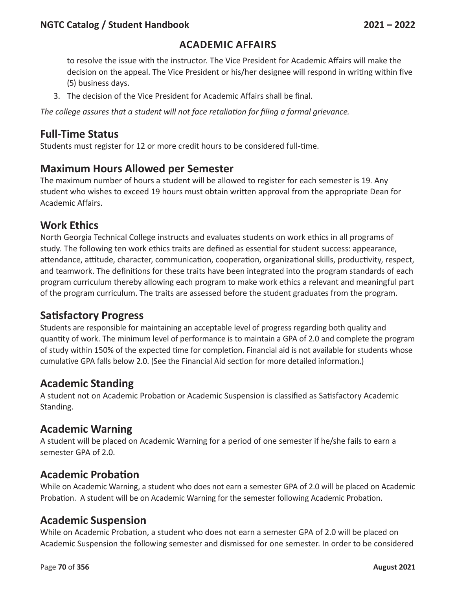#### **Academic Affairs**

to resolve the issue with the instructor. The Vice President for Academic Affairs will make the decision on the appeal. The Vice President or his/her designee will respond in writing within five (5) business days.

3. The decision of the Vice President for Academic Affairs shall be final.

*The college assures that a student will not face retaliation for filing a formal grievance.*

#### **Full-Time Status**

Students must register for 12 or more credit hours to be considered full-time.

#### **Maximum Hours Allowed per Semester**

The maximum number of hours a student will be allowed to register for each semester is 19. Any student who wishes to exceed 19 hours must obtain written approval from the appropriate Dean for Academic Affairs.

#### **Work Ethics**

North Georgia Technical College instructs and evaluates students on work ethics in all programs of study. The following ten work ethics traits are defined as essential for student success: appearance, attendance, attitude, character, communication, cooperation, organizational skills, productivity, respect, and teamwork. The definitions for these traits have been integrated into the program standards of each program curriculum thereby allowing each program to make work ethics a relevant and meaningful part of the program curriculum. The traits are assessed before the student graduates from the program.

### **Satisfactory Progress**

Students are responsible for maintaining an acceptable level of progress regarding both quality and quantity of work. The minimum level of performance is to maintain a GPA of 2.0 and complete the program of study within 150% of the expected time for completion. Financial aid is not available for students whose cumulative GPA falls below 2.0. (See the Financial Aid section for more detailed information.)

### **Academic Standing**

A student not on Academic Probation or Academic Suspension is classified as Satisfactory Academic Standing.

#### **Academic Warning**

A student will be placed on Academic Warning for a period of one semester if he/she fails to earn a semester GPA of 2.0.

### **Academic Probation**

While on Academic Warning, a student who does not earn a semester GPA of 2.0 will be placed on Academic Probation. A student will be on Academic Warning for the semester following Academic Probation.

#### **Academic Suspension**

While on Academic Probation, a student who does not earn a semester GPA of 2.0 will be placed on Academic Suspension the following semester and dismissed for one semester. In order to be considered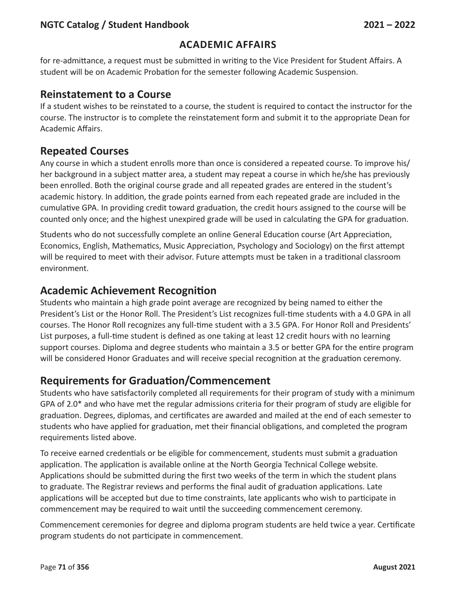#### **Academic Affairs**

for re-admittance, a request must be submitted in writing to the Vice President for Student Affairs. A student will be on Academic Probation for the semester following Academic Suspension.

#### **Reinstatement to a Course**

If a student wishes to be reinstated to a course, the student is required to contact the instructor for the course. The instructor is to complete the reinstatement form and submit it to the appropriate Dean for Academic Affairs.

### **Repeated Courses**

Any course in which a student enrolls more than once is considered a repeated course. To improve his/ her background in a subject matter area, a student may repeat a course in which he/she has previously been enrolled. Both the original course grade and all repeated grades are entered in the student's academic history. In addition, the grade points earned from each repeated grade are included in the cumulative GPA. In providing credit toward graduation, the credit hours assigned to the course will be counted only once; and the highest unexpired grade will be used in calculating the GPA for graduation.

Students who do not successfully complete an online General Education course (Art Appreciation, Economics, English, Mathematics, Music Appreciation, Psychology and Sociology) on the first attempt will be required to meet with their advisor. Future attempts must be taken in a traditional classroom environment.

#### **Academic Achievement Recognition**

Students who maintain a high grade point average are recognized by being named to either the President's List or the Honor Roll. The President's List recognizes full-time students with a 4.0 GPA in all courses. The Honor Roll recognizes any full-time student with a 3.5 GPA. For Honor Roll and Presidents' List purposes, a full-time student is defined as one taking at least 12 credit hours with no learning support courses. Diploma and degree students who maintain a 3.5 or better GPA for the entire program will be considered Honor Graduates and will receive special recognition at the graduation ceremony.

### **Requirements for Graduation/Commencement**

Students who have satisfactorily completed all requirements for their program of study with a minimum GPA of 2.0\* and who have met the regular admissions criteria for their program of study are eligible for graduation. Degrees, diplomas, and certificates are awarded and mailed at the end of each semester to students who have applied for graduation, met their financial obligations, and completed the program requirements listed above.

To receive earned credentials or be eligible for commencement, students must submit a graduation application. The application is available online at the North Georgia Technical College website. Applications should be submitted during the first two weeks of the term in which the student plans to graduate. The Registrar reviews and performs the final audit of graduation applications. Late applications will be accepted but due to time constraints, late applicants who wish to participate in commencement may be required to wait until the succeeding commencement ceremony.

Commencement ceremonies for degree and diploma program students are held twice a year. Certificate program students do not participate in commencement.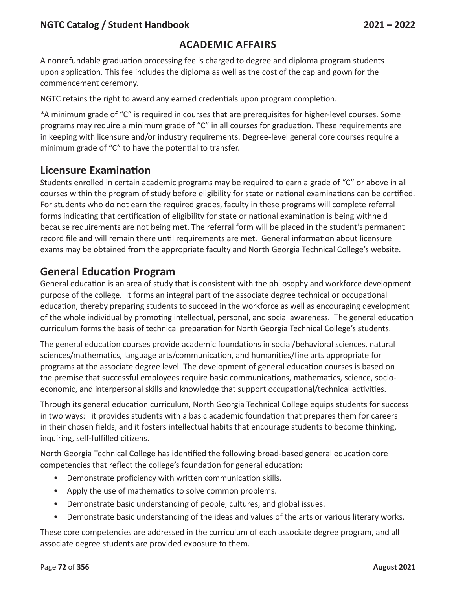#### **Academic Affairs**

A nonrefundable graduation processing fee is charged to degree and diploma program students upon application. This fee includes the diploma as well as the cost of the cap and gown for the commencement ceremony.

NGTC retains the right to award any earned credentials upon program completion.

\*A minimum grade of "C" is required in courses that are prerequisites for higher-level courses. Some programs may require a minimum grade of "C" in all courses for graduation. These requirements are in keeping with licensure and/or industry requirements. Degree-level general core courses require a minimum grade of "C" to have the potential to transfer.

#### **Licensure Examination**

Students enrolled in certain academic programs may be required to earn a grade of "C" or above in all courses within the program of study before eligibility for state or national examinations can be certified. For students who do not earn the required grades, faculty in these programs will complete referral forms indicating that certification of eligibility for state or national examination is being withheld because requirements are not being met. The referral form will be placed in the student's permanent record file and will remain there until requirements are met. General information about licensure exams may be obtained from the appropriate faculty and North Georgia Technical College's website.

### **General Education Program**

General education is an area of study that is consistent with the philosophy and workforce development purpose of the college. It forms an integral part of the associate degree technical or occupational education, thereby preparing students to succeed in the workforce as well as encouraging development of the whole individual by promoting intellectual, personal, and social awareness. The general education curriculum forms the basis of technical preparation for North Georgia Technical College's students.

The general education courses provide academic foundations in social/behavioral sciences, natural sciences/mathematics, language arts/communication, and humanities/fine arts appropriate for programs at the associate degree level. The development of general education courses is based on the premise that successful employees require basic communications, mathematics, science, socioeconomic, and interpersonal skills and knowledge that support occupational/technical activities.

Through its general education curriculum, North Georgia Technical College equips students for success in two ways: it provides students with a basic academic foundation that prepares them for careers in their chosen fields, and it fosters intellectual habits that encourage students to become thinking, inquiring, self-fulfilled citizens.

North Georgia Technical College has identified the following broad-based general education core competencies that reflect the college's foundation for general education:

- Demonstrate proficiency with written communication skills.
- Apply the use of mathematics to solve common problems.
- Demonstrate basic understanding of people, cultures, and global issues.
- Demonstrate basic understanding of the ideas and values of the arts or various literary works.

These core competencies are addressed in the curriculum of each associate degree program, and all associate degree students are provided exposure to them.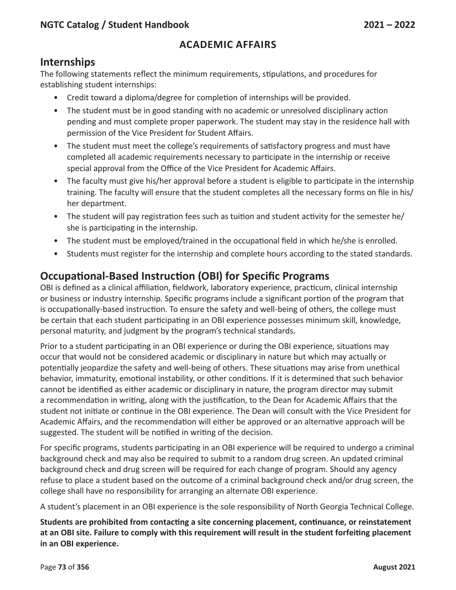#### **Internships**

The following statements reflect the minimum requirements, stipulations, and procedures for establishing student internships:

- Credit toward a diploma/degree for completion of internships will be provided.
- The student must be in good standing with no academic or unresolved disciplinary action pending and must complete proper paperwork. The student may stay in the residence hall with permission of the Vice President for Student Affairs.
- The student must meet the college's requirements of satisfactory progress and must have completed all academic requirements necessary to participate in the internship or receive special approval from the Office of the Vice President for Academic Affairs.
- The faculty must give his/her approval before a student is eligible to participate in the internship training. The faculty will ensure that the student completes all the necessary forms on file in his/ her department.
- The student will pay registration fees such as tuition and student activity for the semester he/ she is participating in the internship.
- The student must be employed/trained in the occupational field in which he/she is enrolled.
- Students must register for the internship and complete hours according to the stated standards.

# **Occupational-Based Instruction (OBI) for Specific Programs**

OBI is defined as a clinical affiliation, fieldwork, laboratory experience, practicum, clinical internship or business or industry internship. Specific programs include a significant portion of the program that is occupationally-based instruction. To ensure the safety and well-being of others, the college must be certain that each student participating in an OBI experience possesses minimum skill, knowledge, personal maturity, and judgment by the program's technical standards.

Prior to a student participating in an OBI experience or during the OBI experience, situations may occur that would not be considered academic or disciplinary in nature but which may actually or potentially jeopardize the safety and well-being of others. These situations may arise from unethical behavior, immaturity, emotional instability, or other conditions. If it is determined that such behavior cannot be identified as either academic or disciplinary in nature, the program director may submit a recommendation in writing, along with the justification, to the Dean for Academic Affairs that the student not initiate or continue in the OBI experience. The Dean will consult with the Vice President for Academic Affairs, and the recommendation will either be approved or an alternative approach will be suggested. The student will be notified in writing of the decision.

For specific programs, students participating in an OBI experience will be required to undergo a criminal background check and may also be required to submit to a random drug screen. An updated criminal background check and drug screen will be required for each change of program. Should any agency refuse to place a student based on the outcome of a criminal background check and/or drug screen, the college shall have no responsibility for arranging an alternate OBI experience.

A student's placement in an OBI experience is the sole responsibility of North Georgia Technical College.

**Students are prohibited from contacting a site concerning placement, continuance, or reinstatement at an OBI site. Failure to comply with this requirement will result in the student forfeiting placement in an OBI experience.**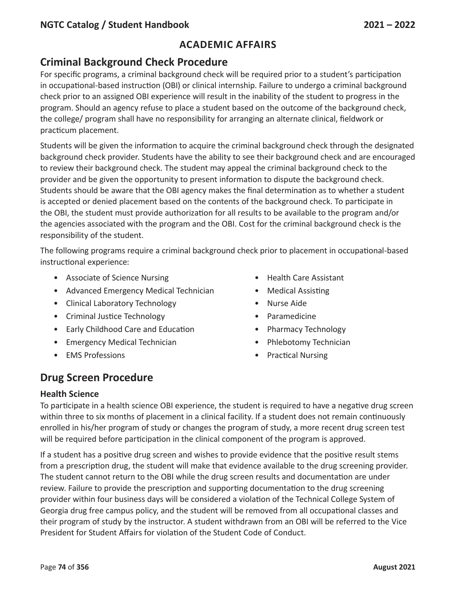# **Criminal Background Check Procedure**

For specific programs, a criminal background check will be required prior to a student's participation in occupational-based instruction (OBI) or clinical internship. Failure to undergo a criminal background check prior to an assigned OBI experience will result in the inability of the student to progress in the program. Should an agency refuse to place a student based on the outcome of the background check, the college/ program shall have no responsibility for arranging an alternate clinical, fieldwork or practicum placement.

Students will be given the information to acquire the criminal background check through the designated background check provider. Students have the ability to see their background check and are encouraged to review their background check. The student may appeal the criminal background check to the provider and be given the opportunity to present information to dispute the background check. Students should be aware that the OBI agency makes the final determination as to whether a student is accepted or denied placement based on the contents of the background check. To participate in the OBI, the student must provide authorization for all results to be available to the program and/or the agencies associated with the program and the OBI. Cost for the criminal background check is the responsibility of the student.

The following programs require a criminal background check prior to placement in occupational-based instructional experience:

- Associate of Science Nursing example and the Health Care Assistant
- Advanced Emergency Medical Technician Medical Assisting
- Clinical Laboratory Technology Nurse Aide
- Criminal Justice Technology Paramedicine
- Early Childhood Care and Education Pharmacy Technology
- Emergency Medical Technician **•** Phlebotomy Technician
- 
- 
- 
- 
- 
- 
- 
- EMS Professions Practical Nursing

# **Drug Screen Procedure**

#### **Health Science**

To participate in a health science OBI experience, the student is required to have a negative drug screen within three to six months of placement in a clinical facility. If a student does not remain continuously enrolled in his/her program of study or changes the program of study, a more recent drug screen test will be required before participation in the clinical component of the program is approved.

If a student has a positive drug screen and wishes to provide evidence that the positive result stems from a prescription drug, the student will make that evidence available to the drug screening provider. The student cannot return to the OBI while the drug screen results and documentation are under review. Failure to provide the prescription and supporting documentation to the drug screening provider within four business days will be considered a violation of the Technical College System of Georgia drug free campus policy, and the student will be removed from all occupational classes and their program of study by the instructor. A student withdrawn from an OBI will be referred to the Vice President for Student Affairs for violation of the Student Code of Conduct.